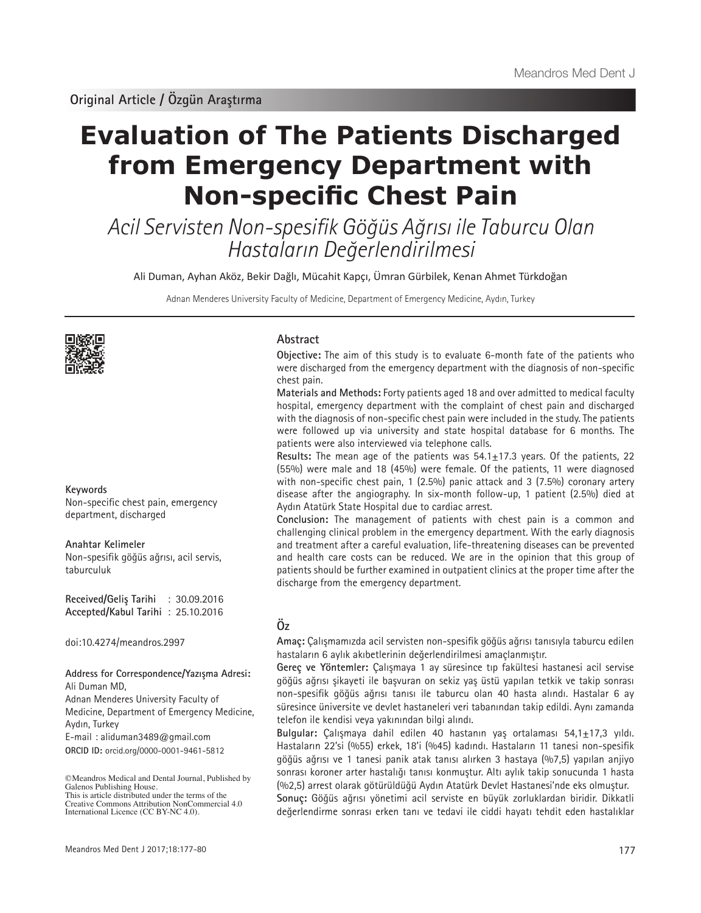# **Evaluation of The Patients Discharged from Emergency Department with Non-specific Chest Pain**

Acil Servisten Non-spesifik Göğüs Ağrısı ile Taburcu Olan Hastaların Değerlendirilmesi

Ali Duman, Ayhan Aköz, Bekir Dağlı, Mücahit Kapçı, Ümran Gürbilek, Kenan Ahmet Türkdoğan

Adnan Menderes University Faculty of Medicine, Department of Emergency Medicine, Aydın, Turkey



### **Keywords**

Non-specific chest pain, emergency department, discharged

#### **Anahtar Kelimeler**

Non-spesifik göğüs ağrısı, acil servis, taburculuk

**Received/Geliş Tarihi** : 30.09.2016 **Accepted/Kabul Tarihi** : 25.10.2016

doi:10.4274/meandros.2997

#### **Address for Correspondence/Yazışma Adresi:** Ali Duman MD,

Adnan Menderes University Faculty of Medicine, Department of Emergency Medicine, Aydın, Turkey

**ORCID ID:** orcid.org/0000-0001-9461-5812 E-mail : aliduman3489@gmail.com

©Meandros Medical and Dental Journal, Published by

## **Abstract**

**Objective:** The aim of this study is to evaluate 6-month fate of the patients who were discharged from the emergency department with the diagnosis of non-specific chest pain.

**Materials and Methods:** Forty patients aged 18 and over admitted to medical faculty hospital, emergency department with the complaint of chest pain and discharged with the diagnosis of non-specific chest pain were included in the study. The patients were followed up via university and state hospital database for 6 months. The patients were also interviewed via telephone calls.

**Results:** The mean age of the patients was 54.1±17.3 years. Of the patients, 22 (55%) were male and 18 (45%) were female. Of the patients, 11 were diagnosed with non-specific chest pain, 1 (2.5%) panic attack and 3 (7.5%) coronary artery disease after the angiography. In six-month follow-up, 1 patient (2.5%) died at Aydın Atatürk State Hospital due to cardiac arrest.

**Conclusion:** The management of patients with chest pain is a common and challenging clinical problem in the emergency department. With the early diagnosis and treatment after a careful evaluation, life-threatening diseases can be prevented and health care costs can be reduced. We are in the opinion that this group of patients should be further examined in outpatient clinics at the proper time after the discharge from the emergency department.

## **Öz**

**Amaç:** Çalışmamızda acil servisten non-spesifik göğüs ağrısı tanısıyla taburcu edilen hastaların 6 aylık akıbetlerinin değerlendirilmesi amaçlanmıştır.

**Gereç ve Yöntemler:** Çalışmaya 1 ay süresince tıp fakültesi hastanesi acil servise göğüs ağrısı şikayeti ile başvuran on sekiz yaş üstü yapılan tetkik ve takip sonrası non-spesifik göğüs ağrısı tanısı ile taburcu olan 40 hasta alındı. Hastalar 6 ay süresince üniversite ve devlet hastaneleri veri tabanından takip edildi. Aynı zamanda telefon ile kendisi veya yakınından bilgi alındı.

**Bulgular:** Çalışmaya dahil edilen 40 hastanın yaş ortalaması 54,1±17,3 yıldı. Hastaların 22'si (%55) erkek, 18'i (%45) kadındı. Hastaların 11 tanesi non-spesifik göğüs ağrısı ve 1 tanesi panik atak tanısı alırken 3 hastaya (%7,5) yapılan anjiyo sonrası koroner arter hastalığı tanısı konmuştur. Altı aylık takip sonucunda 1 hasta (%2,5) arrest olarak götürüldüğü Aydın Atatürk Devlet Hastanesi'nde eks olmuştur.

**Sonuç:** Göğüs ağrısı yönetimi acil serviste en büyük zorluklardan biridir. Dikkatli değerlendirme sonrası erken tanı ve tedavi ile ciddi hayatı tehdit eden hastalıklar

Galenos Publishing House. This is article distributed under the terms of the Creative Commons Attribution NonCommercial 4.0 International Licence (CC BY-NC 4.0).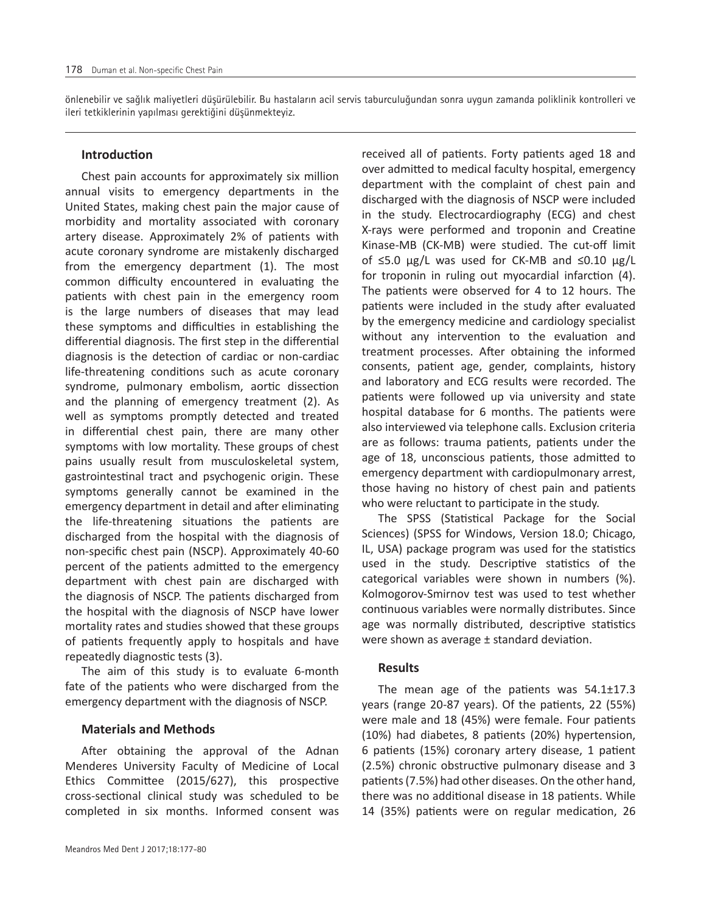önlenebilir ve sağlık maliyetleri düşürülebilir. Bu hastaların acil servis taburculuğundan sonra uygun zamanda poliklinik kontrolleri ve ileri tetkiklerinin yapılması gerektiğini düşünmekteyiz.

## **Introduction**

Chest pain accounts for approximately six million annual visits to emergency departments in the United States, making chest pain the major cause of morbidity and mortality associated with coronary artery disease. Approximately 2% of patients with acute coronary syndrome are mistakenly discharged from the emergency department (1). The most common difficulty encountered in evaluating the patients with chest pain in the emergency room is the large numbers of diseases that may lead these symptoms and difficulties in establishing the differential diagnosis. The first step in the differential diagnosis is the detection of cardiac or non-cardiac life-threatening conditions such as acute coronary syndrome, pulmonary embolism, aortic dissection and the planning of emergency treatment (2). As well as symptoms promptly detected and treated in differential chest pain, there are many other symptoms with low mortality. These groups of chest pains usually result from musculoskeletal system, gastrointestinal tract and psychogenic origin. These symptoms generally cannot be examined in the emergency department in detail and after eliminating the life-threatening situations the patients are discharged from the hospital with the diagnosis of non-specific chest pain (NSCP). Approximately 40-60 percent of the patients admitted to the emergency department with chest pain are discharged with the diagnosis of NSCP. The patients discharged from the hospital with the diagnosis of NSCP have lower mortality rates and studies showed that these groups of patients frequently apply to hospitals and have repeatedly diagnostic tests (3).

The aim of this study is to evaluate 6-month fate of the patients who were discharged from the emergency department with the diagnosis of NSCP.

# **Materials and Methods**

After obtaining the approval of the Adnan Menderes University Faculty of Medicine of Local Ethics Committee (2015/627), this prospective cross-sectional clinical study was scheduled to be completed in six months. Informed consent was

received all of patients. Forty patients aged 18 and over admitted to medical faculty hospital, emergency department with the complaint of chest pain and discharged with the diagnosis of NSCP were included in the study. Electrocardiography (ECG) and chest X-rays were performed and troponin and Creatine Kinase-MB (CK-MB) were studied. The cut-off limit of ≤5.0 μg/L was used for CK-MB and ≤0.10 μg/L for troponin in ruling out myocardial infarction (4). The patients were observed for 4 to 12 hours. The patients were included in the study after evaluated by the emergency medicine and cardiology specialist without any intervention to the evaluation and treatment processes. After obtaining the informed consents, patient age, gender, complaints, history and laboratory and ECG results were recorded. The patients were followed up via university and state hospital database for 6 months. The patients were also interviewed via telephone calls. Exclusion criteria are as follows: trauma patients, patients under the age of 18, unconscious patients, those admitted to emergency department with cardiopulmonary arrest, those having no history of chest pain and patients who were reluctant to participate in the study.

The SPSS (Statistical Package for the Social Sciences) (SPSS for Windows, Version 18.0; Chicago, IL, USA) package program was used for the statistics used in the study. Descriptive statistics of the categorical variables were shown in numbers (%). Kolmogorov-Smirnov test was used to test whether continuous variables were normally distributes. Since age was normally distributed, descriptive statistics were shown as average ± standard deviation.

## **Results**

The mean age of the patients was 54.1±17.3 years (range 20-87 years). Of the patients, 22 (55%) were male and 18 (45%) were female. Four patients (10%) had diabetes, 8 patients (20%) hypertension, 6 patients (15%) coronary artery disease, 1 patient (2.5%) chronic obstructive pulmonary disease and 3 patients (7.5%) had other diseases. On the other hand, there was no additional disease in 18 patients. While 14 (35%) patients were on regular medication, 26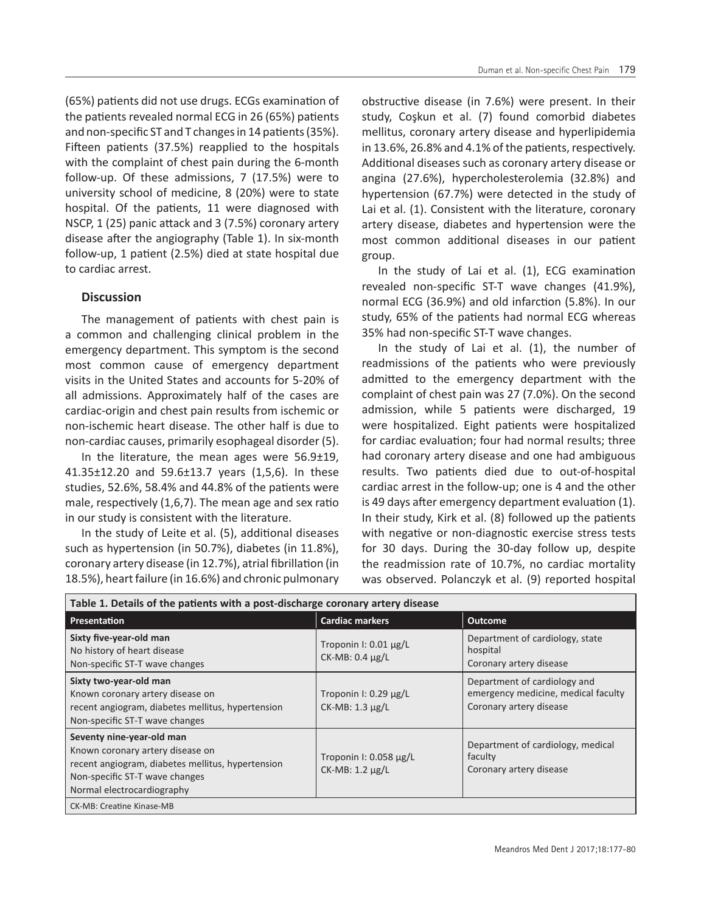(65%) patients did not use drugs. ECGs examination of the patients revealed normal ECG in 26 (65%) patients and non-specific ST and T changes in 14 patients (35%). Fifteen patients (37.5%) reapplied to the hospitals with the complaint of chest pain during the 6-month follow-up. Of these admissions, 7 (17.5%) were to university school of medicine, 8 (20%) were to state hospital. Of the patients, 11 were diagnosed with NSCP, 1 (25) panic attack and 3 (7.5%) coronary artery disease after the angiography (Table 1). In six-month follow-up, 1 patient (2.5%) died at state hospital due to cardiac arrest.

## **Discussion**

The management of patients with chest pain is a common and challenging clinical problem in the emergency department. This symptom is the second most common cause of emergency department visits in the United States and accounts for 5-20% of all admissions. Approximately half of the cases are cardiac-origin and chest pain results from ischemic or non-ischemic heart disease. The other half is due to non-cardiac causes, primarily esophageal disorder (5).

In the literature, the mean ages were  $56.9\pm19$ , 41.35±12.20 and 59.6±13.7 years (1,5,6). In these studies, 52.6%, 58.4% and 44.8% of the patients were male, respectively (1,6,7). The mean age and sex ratio in our study is consistent with the literature.

In the study of Leite et al. (5), additional diseases such as hypertension (in 50.7%), diabetes (in 11.8%), coronary artery disease (in 12.7%), atrial fibrillation (in 18.5%), heart failure (in 16.6%) and chronic pulmonary

obstructive disease (in 7.6%) were present. In their study, Coşkun et al. (7) found comorbid diabetes mellitus, coronary artery disease and hyperlipidemia in 13.6%, 26.8% and 4.1% of the patients, respectively. Additional diseases such as coronary artery disease or angina (27.6%), hypercholesterolemia (32.8%) and hypertension (67.7%) were detected in the study of Lai et al. (1). Consistent with the literature, coronary artery disease, diabetes and hypertension were the most common additional diseases in our patient group.

In the study of Lai et al. (1), ECG examination revealed non-specific ST-T wave changes (41.9%), normal ECG (36.9%) and old infarction (5.8%). In our study, 65% of the patients had normal ECG whereas 35% had non-specific ST-T wave changes.

In the study of Lai et al. (1), the number of readmissions of the patients who were previously admitted to the emergency department with the complaint of chest pain was 27 (7.0%). On the second admission, while 5 patients were discharged, 19 were hospitalized. Eight patients were hospitalized for cardiac evaluation; four had normal results; three had coronary artery disease and one had ambiguous results. Two patients died due to out-of-hospital cardiac arrest in the follow-up; one is 4 and the other is 49 days after emergency department evaluation (1). In their study, Kirk et al. (8) followed up the patients with negative or non-diagnostic exercise stress tests for 30 days. During the 30-day follow up, despite the readmission rate of 10.7%, no cardiac mortality was observed. Polanczyk et al. (9) reported hospital

| Table 1. Details of the patients with a post-discharge coronary artery disease                                                                                                     |                                                    |                                                                                                |
|------------------------------------------------------------------------------------------------------------------------------------------------------------------------------------|----------------------------------------------------|------------------------------------------------------------------------------------------------|
| Presentation                                                                                                                                                                       | <b>Cardiac markers</b>                             | <b>Outcome</b>                                                                                 |
| Sixty five-year-old man<br>No history of heart disease<br>Non-specific ST-T wave changes                                                                                           | Troponin I: $0.01 \mu g/L$<br>$CK-MB: 0.4 \mu g/L$ | Department of cardiology, state<br>hospital<br>Coronary artery disease                         |
| Sixty two-year-old man<br>Known coronary artery disease on<br>recent angiogram, diabetes mellitus, hypertension<br>Non-specific ST-T wave changes                                  | Troponin I: $0.29 \mu g/L$<br>$CK-MB: 1.3 \mu g/L$ | Department of cardiology and<br>emergency medicine, medical faculty<br>Coronary artery disease |
| Seventy nine-year-old man<br>Known coronary artery disease on<br>recent angiogram, diabetes mellitus, hypertension<br>Non-specific ST-T wave changes<br>Normal electrocardiography | Troponin I: $0.058 \mu g/L$<br>CK-MB: 1.2 µg/L     | Department of cardiology, medical<br>faculty<br>Coronary artery disease                        |
| CK-MB: Creatine Kinase-MB                                                                                                                                                          |                                                    |                                                                                                |